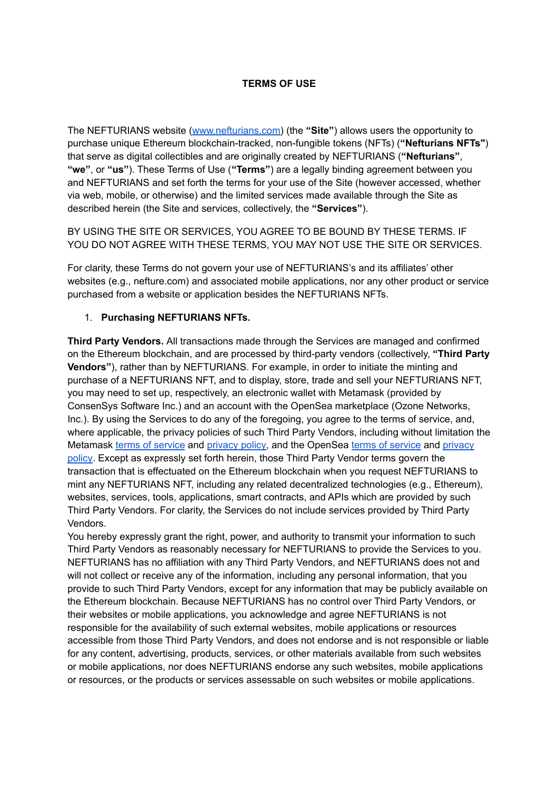### **TERMS OF USE**

The NEFTURIANS website ([www.nefturians.com\)](http://www.nefturians.com/) (the **"Site"**) allows users the opportunity to purchase unique Ethereum blockchain-tracked, non-fungible tokens (NFTs) (**"Nefturians NFTs"**) that serve as digital collectibles and are originally created by NEFTURIANS (**"Nefturians"**, **"we"**, or **"us"**). These Terms of Use (**"Terms"**) are a legally binding agreement between you and NEFTURIANS and set forth the terms for your use of the Site (however accessed, whether via web, mobile, or otherwise) and the limited services made available through the Site as described herein (the Site and services, collectively, the **"Services"**).

BY USING THE SITE OR SERVICES, YOU AGREE TO BE BOUND BY THESE TERMS. IF YOU DO NOT AGREE WITH THESE TERMS, YOU MAY NOT USE THE SITE OR SERVICES.

For clarity, these Terms do not govern your use of NEFTURIANS's and its affiliates' other websites (e.g., nefture.com) and associated mobile applications, nor any other product or service purchased from a website or application besides the NEFTURIANS NFTs.

#### 1. **Purchasing NEFTURIANS NFTs.**

**Third Party Vendors.** All transactions made through the Services are managed and confirmed on the Ethereum blockchain, and are processed by third-party vendors (collectively, **"Third Party Vendors"**), rather than by NEFTURIANS. For example, in order to initiate the minting and purchase of a NEFTURIANS NFT, and to display, store, trade and sell your NEFTURIANS NFT, you may need to set up, respectively, an electronic wallet with Metamask (provided by ConsenSys Software Inc.) and an account with the OpenSea marketplace (Ozone Networks, Inc.). By using the Services to do any of the foregoing, you agree to the terms of service, and, where applicable, the privacy policies of such Third Party Vendors, including without limitation the Metamask [terms of service](https://consensys.net/terms-of-use/) and [privacy policy,](https://consensys.net/privacy-policy/) and the OpenSea [terms of service](https://opensea.io/tos) and [privacy](https://opensea.io/privacy) [policy.](https://opensea.io/privacy) Except as expressly set forth herein, those Third Party Vendor terms govern the transaction that is effectuated on the Ethereum blockchain when you request NEFTURIANS to mint any NEFTURIANS NFT, including any related decentralized technologies (e.g., Ethereum), websites, services, tools, applications, smart contracts, and APIs which are provided by such Third Party Vendors. For clarity, the Services do not include services provided by Third Party Vendors.

You hereby expressly grant the right, power, and authority to transmit your information to such Third Party Vendors as reasonably necessary for NEFTURIANS to provide the Services to you. NEFTURIANS has no affiliation with any Third Party Vendors, and NEFTURIANS does not and will not collect or receive any of the information, including any personal information, that you provide to such Third Party Vendors, except for any information that may be publicly available on the Ethereum blockchain. Because NEFTURIANS has no control over Third Party Vendors, or their websites or mobile applications, you acknowledge and agree NEFTURIANS is not responsible for the availability of such external websites, mobile applications or resources accessible from those Third Party Vendors, and does not endorse and is not responsible or liable for any content, advertising, products, services, or other materials available from such websites or mobile applications, nor does NEFTURIANS endorse any such websites, mobile applications or resources, or the products or services assessable on such websites or mobile applications.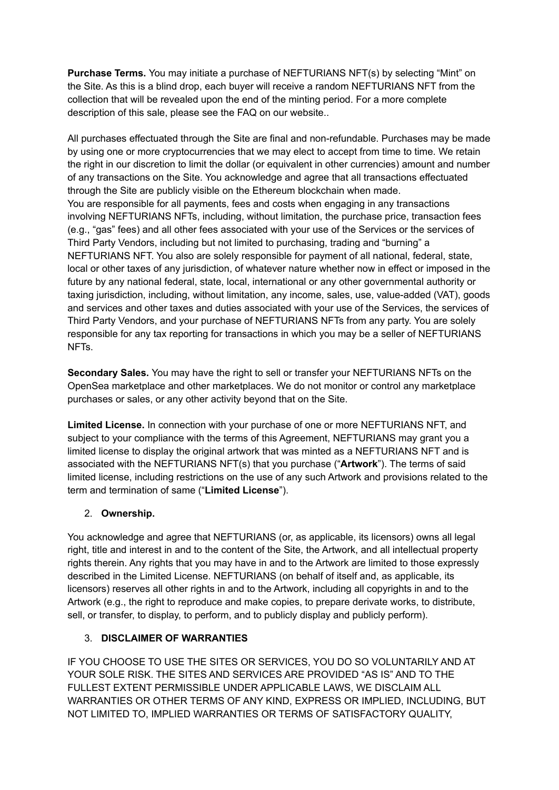**Purchase Terms.** You may initiate a purchase of NEFTURIANS NFT(s) by selecting "Mint" on the Site. As this is a blind drop, each buyer will receive a random NEFTURIANS NFT from the collection that will be revealed upon the end of the minting period. For a more complete description of this sale, please see the FAQ on our website..

All purchases effectuated through the Site are final and non-refundable. Purchases may be made by using one or more cryptocurrencies that we may elect to accept from time to time. We retain the right in our discretion to limit the dollar (or equivalent in other currencies) amount and number of any transactions on the Site. You acknowledge and agree that all transactions effectuated through the Site are publicly visible on the Ethereum blockchain when made. You are responsible for all payments, fees and costs when engaging in any transactions involving NEFTURIANS NFTs, including, without limitation, the purchase price, transaction fees (e.g., "gas" fees) and all other fees associated with your use of the Services or the services of Third Party Vendors, including but not limited to purchasing, trading and "burning" a NEFTURIANS NFT. You also are solely responsible for payment of all national, federal, state, local or other taxes of any jurisdiction, of whatever nature whether now in effect or imposed in the future by any national federal, state, local, international or any other governmental authority or taxing jurisdiction, including, without limitation, any income, sales, use, value-added (VAT), goods and services and other taxes and duties associated with your use of the Services, the services of Third Party Vendors, and your purchase of NEFTURIANS NFTs from any party. You are solely responsible for any tax reporting for transactions in which you may be a seller of NEFTURIANS NFTs.

**Secondary Sales.** You may have the right to sell or transfer your NEFTURIANS NFTs on the OpenSea marketplace and other marketplaces. We do not monitor or control any marketplace purchases or sales, or any other activity beyond that on the Site.

**Limited License.** In connection with your purchase of one or more NEFTURIANS NFT, and subject to your compliance with the terms of this Agreement, NEFTURIANS may grant you a limited license to display the original artwork that was minted as a NEFTURIANS NFT and is associated with the NEFTURIANS NFT(s) that you purchase ("**Artwork**"). The terms of said limited license, including restrictions on the use of any such Artwork and provisions related to the term and termination of same ("**Limited License**").

# 2. **Ownership.**

You acknowledge and agree that NEFTURIANS (or, as applicable, its licensors) owns all legal right, title and interest in and to the content of the Site, the Artwork, and all intellectual property rights therein. Any rights that you may have in and to the Artwork are limited to those expressly described in the Limited License. NEFTURIANS (on behalf of itself and, as applicable, its licensors) reserves all other rights in and to the Artwork, including all copyrights in and to the Artwork (e.g., the right to reproduce and make copies, to prepare derivate works, to distribute, sell, or transfer, to display, to perform, and to publicly display and publicly perform).

### 3. **DISCLAIMER OF WARRANTIES**

IF YOU CHOOSE TO USE THE SITES OR SERVICES, YOU DO SO VOLUNTARILY AND AT YOUR SOLE RISK. THE SITES AND SERVICES ARE PROVIDED "AS IS" AND TO THE FULLEST EXTENT PERMISSIBLE UNDER APPLICABLE LAWS, WE DISCLAIM ALL WARRANTIES OR OTHER TERMS OF ANY KIND, EXPRESS OR IMPLIED, INCLUDING, BUT NOT LIMITED TO, IMPLIED WARRANTIES OR TERMS OF SATISFACTORY QUALITY,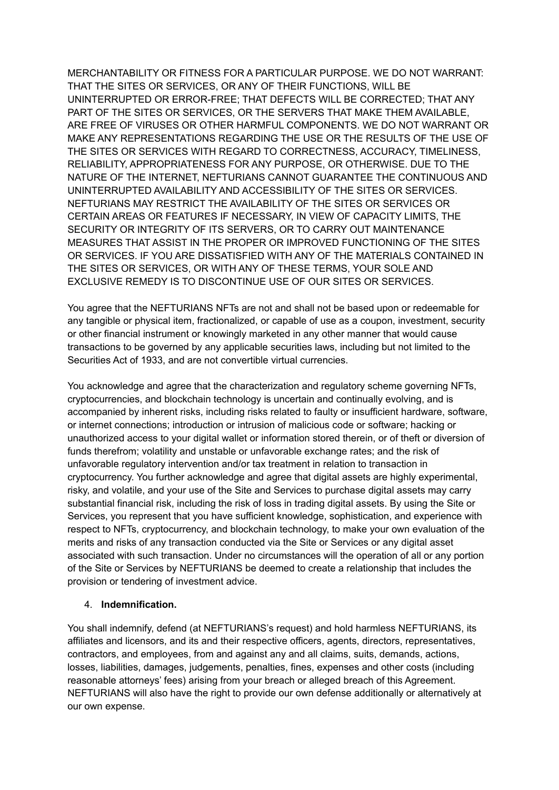MERCHANTABILITY OR FITNESS FOR A PARTICULAR PURPOSE. WE DO NOT WARRANT: THAT THE SITES OR SERVICES, OR ANY OF THEIR FUNCTIONS, WILL BE UNINTERRUPTED OR ERROR-FREE; THAT DEFECTS WILL BE CORRECTED; THAT ANY PART OF THE SITES OR SERVICES, OR THE SERVERS THAT MAKE THEM AVAILABLE, ARE FREE OF VIRUSES OR OTHER HARMFUL COMPONENTS. WE DO NOT WARRANT OR MAKE ANY REPRESENTATIONS REGARDING THE USE OR THE RESULTS OF THE USE OF THE SITES OR SERVICES WITH REGARD TO CORRECTNESS, ACCURACY, TIMELINESS, RELIABILITY, APPROPRIATENESS FOR ANY PURPOSE, OR OTHERWISE. DUE TO THE NATURE OF THE INTERNET, NEFTURIANS CANNOT GUARANTEE THE CONTINUOUS AND UNINTERRUPTED AVAILABILITY AND ACCESSIBILITY OF THE SITES OR SERVICES. NEFTURIANS MAY RESTRICT THE AVAILABILITY OF THE SITES OR SERVICES OR CERTAIN AREAS OR FEATURES IF NECESSARY, IN VIEW OF CAPACITY LIMITS, THE SECURITY OR INTEGRITY OF ITS SERVERS, OR TO CARRY OUT MAINTENANCE MEASURES THAT ASSIST IN THE PROPER OR IMPROVED FUNCTIONING OF THE SITES OR SERVICES. IF YOU ARE DISSATISFIED WITH ANY OF THE MATERIALS CONTAINED IN THE SITES OR SERVICES, OR WITH ANY OF THESE TERMS, YOUR SOLE AND EXCLUSIVE REMEDY IS TO DISCONTINUE USE OF OUR SITES OR SERVICES.

You agree that the NEFTURIANS NFTs are not and shall not be based upon or redeemable for any tangible or physical item, fractionalized, or capable of use as a coupon, investment, security or other financial instrument or knowingly marketed in any other manner that would cause transactions to be governed by any applicable securities laws, including but not limited to the Securities Act of 1933, and are not convertible virtual currencies.

You acknowledge and agree that the characterization and regulatory scheme governing NFTs, cryptocurrencies, and blockchain technology is uncertain and continually evolving, and is accompanied by inherent risks, including risks related to faulty or insufficient hardware, software, or internet connections; introduction or intrusion of malicious code or software; hacking or unauthorized access to your digital wallet or information stored therein, or of theft or diversion of funds therefrom; volatility and unstable or unfavorable exchange rates; and the risk of unfavorable regulatory intervention and/or tax treatment in relation to transaction in cryptocurrency. You further acknowledge and agree that digital assets are highly experimental, risky, and volatile, and your use of the Site and Services to purchase digital assets may carry substantial financial risk, including the risk of loss in trading digital assets. By using the Site or Services, you represent that you have sufficient knowledge, sophistication, and experience with respect to NFTs, cryptocurrency, and blockchain technology, to make your own evaluation of the merits and risks of any transaction conducted via the Site or Services or any digital asset associated with such transaction. Under no circumstances will the operation of all or any portion of the Site or Services by NEFTURIANS be deemed to create a relationship that includes the provision or tendering of investment advice.

### 4. **Indemnification.**

You shall indemnify, defend (at NEFTURIANS's request) and hold harmless NEFTURIANS, its affiliates and licensors, and its and their respective officers, agents, directors, representatives, contractors, and employees, from and against any and all claims, suits, demands, actions, losses, liabilities, damages, judgements, penalties, fines, expenses and other costs (including reasonable attorneys' fees) arising from your breach or alleged breach of this Agreement. NEFTURIANS will also have the right to provide our own defense additionally or alternatively at our own expense.